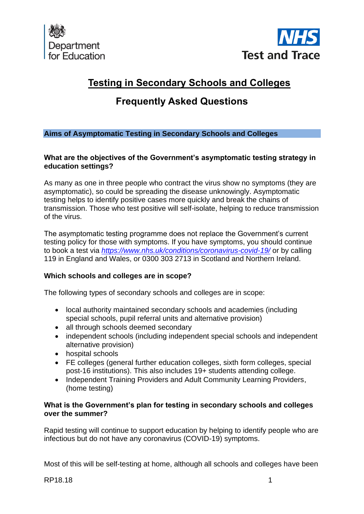



# **Testing in Secondary Schools and Colleges**

# **Frequently Asked Questions**

# **Aims of Asymptomatic Testing in Secondary Schools and Colleges**

## **What are the objectives of the Government's asymptomatic testing strategy in education settings?**

As many as one in three people who contract the virus show no symptoms (they are asymptomatic), so could be spreading the disease unknowingly. Asymptomatic testing helps to identify positive cases more quickly and break the chains of transmission. Those who test positive will self-isolate, helping to reduce transmission of the virus.

The asymptomatic testing programme does not replace the Government's current testing policy for those with symptoms. If you have symptoms, you should continue to book a test via *<https://www.nhs.uk/conditions/coronavirus-covid-19/>* or by calling 119 in England and Wales, or 0300 303 2713 in Scotland and Northern Ireland.

## **Which schools and colleges are in scope?**

The following types of secondary schools and colleges are in scope:

- local authority maintained secondary schools and academies (including special schools, pupil referral units and alternative provision)
- all through schools deemed secondary
- independent schools (including independent special schools and independent alternative provision)
- hospital schools
- FE colleges (general further education colleges, sixth form colleges, special post-16 institutions). This also includes 19+ students attending college.
- Independent Training Providers and Adult Community Learning Providers, (home testing)

## **What is the Government's plan for testing in secondary schools and colleges over the summer?**

Rapid testing will continue to support education by helping to identify people who are infectious but do not have any coronavirus (COVID-19) symptoms.

Most of this will be self-testing at home, although all schools and colleges have been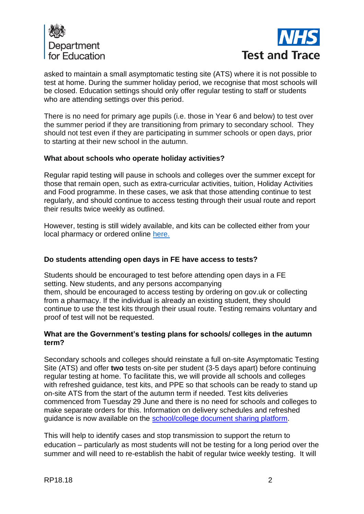



asked to maintain a small asymptomatic testing site (ATS) where it is not possible to test at home. During the summer holiday period, we recognise that most schools will be closed. Education settings should only offer regular testing to staff or students who are attending settings over this period.

There is no need for primary age pupils (i.e. those in Year 6 and below) to test over the summer period if they are transitioning from primary to secondary school. They should not test even if they are participating in summer schools or open days, prior to starting at their new school in the autumn.

## **What about schools who operate holiday activities?**

Regular rapid testing will pause in schools and colleges over the summer except for those that remain open, such as extra-curricular activities, tuition, Holiday Activities and Food programme. In these cases, we ask that those attending continue to test regularly, and should continue to access testing through their usual route and report their results twice weekly as outlined.

However, testing is still widely available, and kits can be collected either from your local pharmacy or ordered online [here.](https://www.gov.uk/order-coronavirus-rapid-lateral-flow-tests)

## **Do students attending open days in FE have access to tests?**

Students should be encouraged to test before attending open days in a FE setting. New students, and any persons accompanying them, should be encouraged to access testing by ordering on gov.uk or collecting from a pharmacy. If the individual is already an existing student, they should continue to use the test kits through their usual route. Testing remains voluntary and proof of test will not be requested.

## **What are the Government's testing plans for schools/ colleges in the autumn term?**

Secondary schools and colleges should reinstate a full on-site Asymptomatic Testing Site (ATS) and offer **two** tests on-site per student (3-5 days apart) before continuing regular testing at home. To facilitate this, we will provide all schools and colleges with refreshed guidance, test kits, and PPE so that schools can be ready to stand up on-site ATS from the start of the autumn term if needed. Test kits deliveries commenced from Tuesday 29 June and there is no need for schools and colleges to make separate orders for this. Information on delivery schedules and refreshed guidance is now available on the [school/college document sharing platform.](https://drive.google.com/drive/folders/1jYv0MjFyIIbzgPn_1S10OuRgfrj_b5_P?form=MY01SV&OCID=MY01SV)

This will help to identify cases and stop transmission to support the return to education – particularly as most students will not be testing for a long period over the summer and will need to re-establish the habit of regular twice weekly testing. It will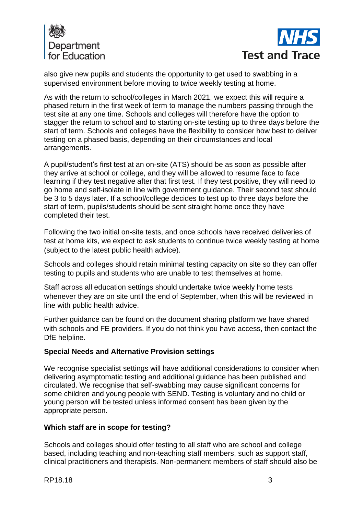



also give new pupils and students the opportunity to get used to swabbing in a supervised environment before moving to twice weekly testing at home.

As with the return to school/colleges in March 2021, we expect this will require a phased return in the first week of term to manage the numbers passing through the test site at any one time. Schools and colleges will therefore have the option to stagger the return to school and to starting on-site testing up to three days before the start of term. Schools and colleges have the flexibility to consider how best to deliver testing on a phased basis, depending on their circumstances and local arrangements.

A pupil/student's first test at an on-site (ATS) should be as soon as possible after they arrive at school or college, and they will be allowed to resume face to face learning if they test negative after that first test. If they test positive, they will need to go home and self-isolate in line with government guidance. Their second test should be 3 to 5 days later. If a school/college decides to test up to three days before the start of term, pupils/students should be sent straight home once they have completed their test.

Following the two initial on-site tests, and once schools have received deliveries of test at home kits, we expect to ask students to continue twice weekly testing at home (subject to the latest public health advice).

Schools and colleges should retain minimal testing capacity on site so they can offer testing to pupils and students who are unable to test themselves at home.

Staff across all education settings should undertake twice weekly home tests whenever they are on site until the end of September, when this will be reviewed in line with public health advice.

Further guidance can be found on the document sharing platform we have shared with schools and FE providers. If you do not think you have access, then contact the DfE helpline.

# **Special Needs and Alternative Provision settings**

We recognise specialist settings will have additional considerations to consider when delivering asymptomatic testing and additional guidance has been published and circulated. We recognise that self-swabbing may cause significant concerns for some children and young people with SEND. Testing is voluntary and no child or young person will be tested unless informed consent has been given by the appropriate person.

## **Which staff are in scope for testing?**

Schools and colleges should offer testing to all staff who are school and college based, including teaching and non-teaching staff members, such as support staff, clinical practitioners and therapists. Non-permanent members of staff should also be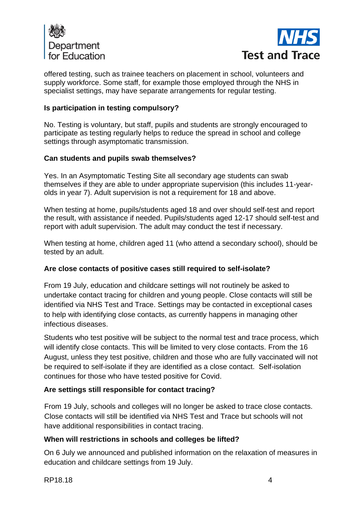



offered testing, such as trainee teachers on placement in school, volunteers and supply workforce. Some staff, for example those employed through the NHS in specialist settings, may have separate arrangements for regular testing.

# **Is participation in testing compulsory?**

No. Testing is voluntary, but staff, pupils and students are strongly encouraged to participate as testing regularly helps to reduce the spread in school and college settings through asymptomatic transmission.

## **Can students and pupils swab themselves?**

Yes. In an Asymptomatic Testing Site all secondary age students can swab themselves if they are able to under appropriate supervision (this includes 11-yearolds in year 7). Adult supervision is not a requirement for 18 and above.

When testing at home, pupils/students aged 18 and over should self-test and report the result, with assistance if needed. Pupils/students aged 12-17 should self-test and report with adult supervision. The adult may conduct the test if necessary.

When testing at home, children aged 11 (who attend a secondary school), should be tested by an adult.

## **Are close contacts of positive cases still required to self-isolate?**

From 19 July, education and childcare settings will not routinely be asked to undertake contact tracing for children and young people. Close contacts will still be identified via NHS Test and Trace. Settings may be contacted in exceptional cases to help with identifying close contacts, as currently happens in managing other infectious diseases.

Students who test positive will be subject to the normal test and trace process, which will identify close contacts. This will be limited to very close contacts. From the 16 August, unless they test positive, children and those who are fully vaccinated will not be required to self-isolate if they are identified as a close contact. Self-isolation continues for those who have tested positive for Covid.

## **Are settings still responsible for contact tracing?**

From 19 July, schools and colleges will no longer be asked to trace close contacts. Close contacts will still be identified via NHS Test and Trace but schools will not have additional responsibilities in contact tracing.

## **When will restrictions in schools and colleges be lifted?**

On 6 July we announced and published information on the relaxation of measures in education and childcare settings from 19 July.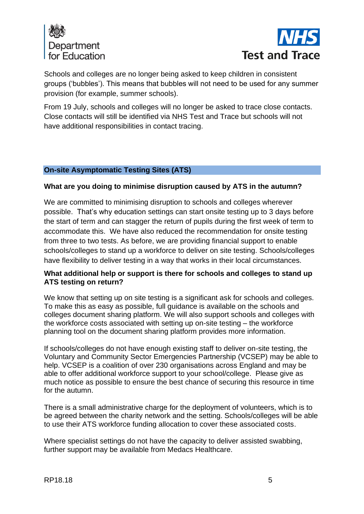



Schools and colleges are no longer being asked to keep children in consistent groups ('bubbles'). This means that bubbles will not need to be used for any summer provision (for example, summer schools).

From 19 July, schools and colleges will no longer be asked to trace close contacts. Close contacts will still be identified via NHS Test and Trace but schools will not have additional responsibilities in contact tracing.

## **On-site Asymptomatic Testing Sites (ATS)**

### **What are you doing to minimise disruption caused by ATS in the autumn?**

We are committed to minimising disruption to schools and colleges wherever possible. That's why education settings can start onsite testing up to 3 days before the start of term and can stagger the return of pupils during the first week of term to accommodate this. We have also reduced the recommendation for onsite testing from three to two tests. As before, we are providing financial support to enable schools/colleges to stand up a workforce to deliver on site testing. Schools/colleges have flexibility to deliver testing in a way that works in their local circumstances.

# **What additional help or support is there for schools and colleges to stand up ATS testing on return?**

We know that setting up on site testing is a significant ask for schools and colleges. To make this as easy as possible, full guidance is available on the schools and colleges document sharing platform. We will also support schools and colleges with the workforce costs associated with setting up on-site testing – the workforce planning tool on the document sharing platform provides more information.

If schools/colleges do not have enough existing staff to deliver on-site testing, the Voluntary and Community Sector Emergencies Partnership (VCSEP) may be able to help. VCSEP is a coalition of over 230 organisations across England and may be able to offer additional workforce support to your school/college. Please give as much notice as possible to ensure the best chance of securing this resource in time for the autumn.

There is a small administrative charge for the deployment of volunteers, which is to be agreed between the charity network and the setting. Schools/colleges will be able to use their ATS workforce funding allocation to cover these associated costs.

Where specialist settings do not have the capacity to deliver assisted swabbing, further support may be available from Medacs Healthcare.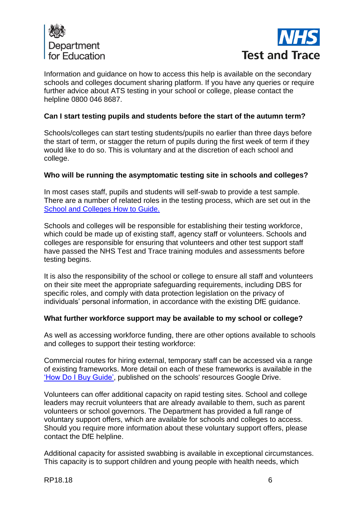



Information and guidance on how to access this help is available on the secondary schools and colleges document sharing platform. If you have any queries or require further advice about ATS testing in your school or college, please contact the helpline 0800 046 8687.

## **Can I start testing pupils and students before the start of the autumn term?**

Schools/colleges can start testing students/pupils no earlier than three days before the start of term, or stagger the return of pupils during the first week of term if they would like to do so. This is voluntary and at the discretion of each school and college.

## **Who will be running the asymptomatic testing site in schools and colleges?**

In most cases staff, pupils and students will self-swab to provide a test sample. There are a number of related roles in the testing process, which are set out in the [School and Colleges How to Guide.](https://drive.google.com/file/d/1bNvqIwbSmVVbMJGyH0ly9hNAhT8fPgsJ/view?usp=sharing)

Schools and colleges will be responsible for establishing their testing workforce, which could be made up of existing staff, agency staff or volunteers. Schools and colleges are responsible for ensuring that volunteers and other test support staff have passed the NHS Test and Trace training modules and assessments before testing begins.

It is also the responsibility of the school or college to ensure all staff and volunteers on their site meet the appropriate safeguarding requirements, including DBS for specific roles, and comply with data protection legislation on the privacy of individuals' personal information, in accordance with the existing DfE guidance.

## **What further workforce support may be available to my school or college?**

As well as accessing workforce funding, there are other options available to schools and colleges to support their testing workforce:

Commercial routes for hiring external, temporary staff can be accessed via a range of existing frameworks. More detail on each of these frameworks is available in the ['How Do I Buy Guide',](https://drive.google.com/file/d/1goRg3E8puhIoYGWX5eZoKbBxAr-jVVVz/view?usp=sharing) published on the schools' resources Google Drive.

Volunteers can offer additional capacity on rapid testing sites. School and college leaders may recruit volunteers that are already available to them, such as parent volunteers or school governors. The Department has provided a full range of voluntary support offers, which are available for schools and colleges to access. Should you require more information about these voluntary support offers, please contact the DfE helpline.

Additional capacity for assisted swabbing is available in exceptional circumstances. This capacity is to support children and young people with health needs, which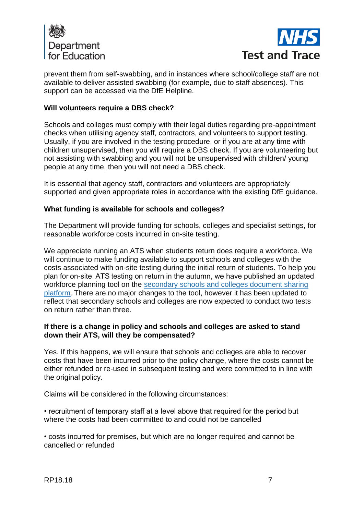



prevent them from self-swabbing, and in instances where school/college staff are not available to deliver assisted swabbing (for example, due to staff absences). This support can be accessed via the DfE Helpline.

## **Will volunteers require a DBS check?**

Schools and colleges must comply with their legal duties regarding pre-appointment checks when utilising agency staff, contractors, and volunteers to support testing. Usually, if you are involved in the testing procedure, or if you are at any time with children unsupervised, then you will require a DBS check. If you are volunteering but not assisting with swabbing and you will not be unsupervised with children/ young people at any time, then you will not need a DBS check.

It is essential that agency staff, contractors and volunteers are appropriately supported and given appropriate roles in accordance with the existing DfE guidance.

#### **What funding is available for schools and colleges?**

The Department will provide funding for schools, colleges and specialist settings, for reasonable workforce costs incurred in on-site testing.

We appreciate running an ATS when students return does require a workforce. We will continue to make funding available to support schools and colleges with the costs associated with on-site testing during the initial return of students. To help you plan for on-site  ATS testing on return in the autumn, we have published an updated workforce planning tool on the [secondary schools and colleges document sharing](https://drive.google.com/drive/folders/1mDSqjqE0Y3Ed0wQeTiFA6kH825Wsdok5)  [platform.](https://drive.google.com/drive/folders/1mDSqjqE0Y3Ed0wQeTiFA6kH825Wsdok5) There are no major changes to the tool, however it has been updated to reflect that secondary schools and colleges are now expected to conduct two tests on return rather than three.

### **If there is a change in policy and schools and colleges are asked to stand down their ATS, will they be compensated?**

Yes. If this happens, we will ensure that schools and colleges are able to recover costs that have been incurred prior to the policy change, where the costs cannot be either refunded or re-used in subsequent testing and were committed to in line with the original policy.

Claims will be considered in the following circumstances:

• recruitment of temporary staff at a level above that required for the period but where the costs had been committed to and could not be cancelled

• costs incurred for premises, but which are no longer required and cannot be cancelled or refunded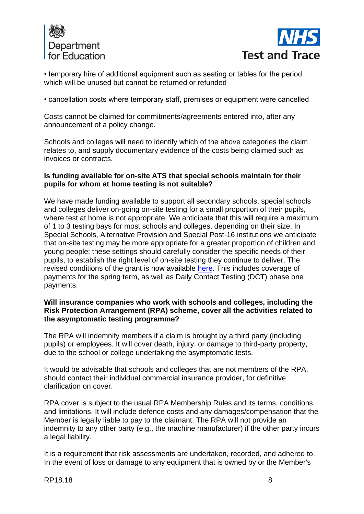



• temporary hire of additional equipment such as seating or tables for the period which will be unused but cannot be returned or refunded

• cancellation costs where temporary staff, premises or equipment were cancelled

Costs cannot be claimed for commitments/agreements entered into, after any announcement of a policy change.

Schools and colleges will need to identify which of the above categories the claim relates to, and supply documentary evidence of the costs being claimed such as invoices or contracts.

## **Is funding available for on-site ATS that special schools maintain for their pupils for whom at home testing is not suitable?**

We have made funding available to support all secondary schools, special schools and colleges deliver on-going on-site testing for a small proportion of their pupils, where test at home is not appropriate. We anticipate that this will require a maximum of 1 to 3 testing bays for most schools and colleges, depending on their size. In Special Schools, Alternative Provision and Special Post-16 institutions we anticipate that on-site testing may be more appropriate for a greater proportion of children and young people; these settings should carefully consider the specific needs of their pupils, to establish the right level of on-site testing they continue to deliver. The revised conditions of the grant is now available [here.](https://www.gov.uk/government/publications/coronavirus-covid-19-testing-in-schools-and-colleges-grant-funding) This includes coverage of payments for the spring term, as well as Daily Contact Testing (DCT) phase one payments.

## **Will insurance companies who work with schools and colleges, including the Risk Protection Arrangement (RPA) scheme, cover all the activities related to the asymptomatic testing programme?**

The RPA will indemnify members if a claim is brought by a third party (including pupils) or employees. It will cover death, injury, or damage to third-party property, due to the school or college undertaking the asymptomatic tests.

It would be advisable that schools and colleges that are not members of the RPA, should contact their individual commercial insurance provider, for definitive clarification on cover.

RPA cover is subject to the usual RPA Membership Rules and its terms, conditions, and limitations. It will include defence costs and any damages/compensation that the Member is legally liable to pay to the claimant. The RPA will not provide an indemnity to any other party (e.g., the machine manufacturer) if the other party incurs a legal liability.

It is a requirement that risk assessments are undertaken, recorded, and adhered to. In the event of loss or damage to any equipment that is owned by or the Member's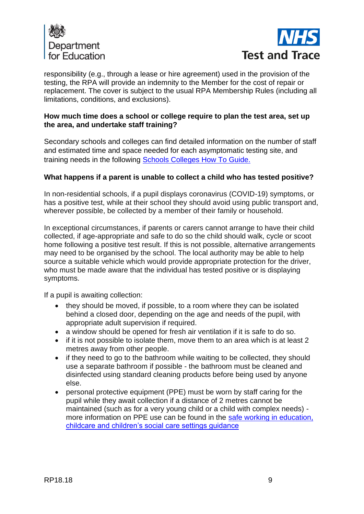



responsibility (e.g., through a lease or hire agreement) used in the provision of the testing, the RPA will provide an indemnity to the Member for the cost of repair or replacement. The cover is subject to the usual RPA Membership Rules (including all limitations, conditions, and exclusions).

## **How much time does a school or college require to plan the test area, set up the area, and undertake staff training?**

Secondary schools and colleges can find detailed information on the number of staff and estimated time and space needed for each asymptomatic testing site, and training needs in the following [Schools Colleges How To Guide.](https://drive.google.com/file/d/1bNvqIwbSmVVbMJGyH0ly9hNAhT8fPgsJ/view?usp=sharing)

## **What happens if a parent is unable to collect a child who has tested positive?**

In non-residential schools, if a pupil displays coronavirus (COVID-19) symptoms, or has a positive test, while at their school they should avoid using public transport and, wherever possible, be collected by a member of their family or household.

In exceptional circumstances, if parents or carers cannot arrange to have their child collected, if age-appropriate and safe to do so the child should walk, cycle or scoot home following a positive test result. If this is not possible, alternative arrangements may need to be organised by the school. The local authority may be able to help source a suitable vehicle which would provide appropriate protection for the driver, who must be made aware that the individual has tested positive or is displaying symptoms.

If a pupil is awaiting collection:

- they should be moved, if possible, to a room where they can be isolated behind a closed door, depending on the age and needs of the pupil, with appropriate adult supervision if required.
- a window should be opened for fresh air ventilation if it is safe to do so.
- if it is not possible to isolate them, move them to an area which is at least 2 metres away from other people.
- if they need to go to the bathroom while waiting to be collected, they should use a separate bathroom if possible - the bathroom must be cleaned and disinfected using standard cleaning products before being used by anyone else.
- personal protective equipment (PPE) must be worn by staff caring for the pupil while they await collection if a distance of 2 metres cannot be maintained (such as for a very young child or a child with complex needs) more information on PPE use can be found in the [safe working in education,](https://www.gov.uk/government/publications/safe-working-in-education-childcare-and-childrens-social-care)  [childcare and children's social care settings guidance](https://www.gov.uk/government/publications/safe-working-in-education-childcare-and-childrens-social-care)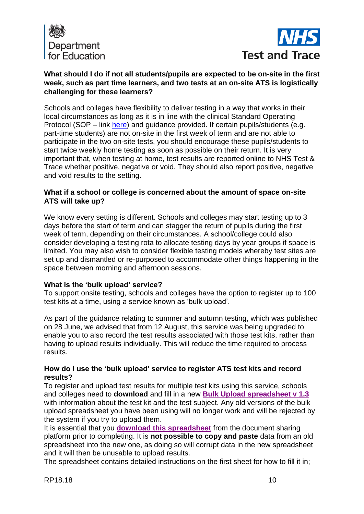



# **What should I do if not all students/pupils are expected to be on-site in the first week, such as part time learners, and two tests at an on-site ATS is logistically challenging for these learners?**

Schools and colleges have flexibility to deliver testing in a way that works in their local circumstances as long as it is in line with the clinical Standard Operating Protocol (SOP – link [here\)](https://drive.google.com/file/d/16hiJd6cSk7-8o3Y7viE5P_e3te7S0Ey1/view?usp=sharing) and quidance provided. If certain pupils/students (e.g. part-time students) are not on-site in the first week of term and are not able to participate in the two on-site tests, you should encourage these pupils/students to start twice weekly home testing as soon as possible on their return. It is very important that, when testing at home, test results are reported online to NHS Test & Trace whether positive, negative or void. They should also report positive, negative and void results to the setting.

## **What if a school or college is concerned about the amount of space on-site ATS will take up?**

We know every setting is different. Schools and colleges may start testing up to 3 days before the start of term and can stagger the return of pupils during the first week of term, depending on their circumstances. A school/college could also consider developing a testing rota to allocate testing days by year groups if space is limited. You may also wish to consider flexible testing models whereby test sites are set up and dismantled or re-purposed to accommodate other things happening in the space between morning and afternoon sessions.

# **What is the 'bulk upload' service?**

To support onsite testing, schools and colleges have the option to register up to 100 test kits at a time, using a service known as 'bulk upload'.

As part of the guidance relating to summer and autumn testing, which was published on 28 June, we advised that from 12 August, this service was being upgraded to enable you to also record the test results associated with those test kits, rather than having to upload results individually. This will reduce the time required to process results.

## **How do I use the 'bulk upload' service to register ATS test kits and record results?**

To register and upload test results for multiple test kits using this service, schools and colleges need to **download** and fill in a new **[Bulk Upload spreadsheet v 1.3](https://docs.google.com/spreadsheets/d/1yULT2vpJ4g37u7bB42wArcOELRtV8VMM/edit?usp=sharing&ouid=111492085711925567069&rtpof=true&sd=true)** with information about the test kit and the test subject. Any old versions of the bulk upload spreadsheet you have been using will no longer work and will be rejected by the system if you try to upload them.

It is essential that you **[download this spreadsheet](https://docs.google.com/spreadsheets/d/1yULT2vpJ4g37u7bB42wArcOELRtV8VMM/edit?usp=sharing&ouid=111492085711925567069&rtpof=true&sd=true)** from the document sharing platform prior to completing. It is **not possible to copy and paste** data from an old spreadsheet into the new one, as doing so will corrupt data in the new spreadsheet and it will then be unusable to upload results.

The spreadsheet contains detailed instructions on the first sheet for how to fill it in;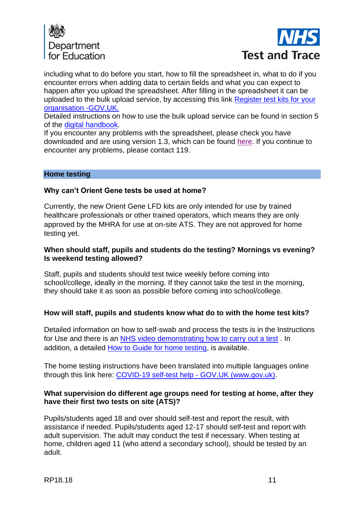



including what to do before you start, how to fill the spreadsheet in, what to do if you encounter errors when adding data to certain fields and what you can expect to happen after you upload the spreadsheet. After filling in the spreadsheet it can be uploaded to the bulk upload service, by accessing this link [Register test kits for your](https://coronavirus-testing-for-organisations.service.gov.uk/register-organisation-tests)  [organisation -GOV.UK.](https://coronavirus-testing-for-organisations.service.gov.uk/register-organisation-tests)

Detailed instructions on how to use the bulk upload service can be found in section 5 of the [digital handbook.](https://drive.google.com/drive/folders/1cT6adcSVsLer0kvcSuI4QcBYdlmdgb5x)

If you encounter any problems with the spreadsheet, please check you have downloaded and are using version 1.3, which can be found [here.](https://docs.google.com/spreadsheets/d/1yULT2vpJ4g37u7bB42wArcOELRtV8VMM/edit?usp=sharing&ouid=111492085711925567069&rtpof=true&sd=true) If you continue to encounter any problems, please contact 119.

## **Home testing**

## **Why can't Orient Gene tests be used at home?**

Currently, the new Orient Gene LFD kits are only intended for use by trained healthcare professionals or other trained operators, which means they are only approved by the MHRA for use at on-site ATS. They are not approved for home testing yet.

## **When should staff, pupils and students do the testing? Mornings vs evening? Is weekend testing allowed?**

Staff, pupils and students should test twice weekly before coming into school/college, ideally in the morning. If they cannot take the test in the morning, they should take it as soon as possible before coming into school/college.

## **How will staff, pupils and students know what do to with the home test kits?**

Detailed information on how to self-swab and process the tests is in the Instructions for Use and there is an [NHS video demonstrating how to carry out a test](https://www.youtube.com/playlist?list=PLvaBZskxS7tzQYlVg7lwH5uxAD9UrSzGJ) . In addition, a detailed [How to Guide for home testing,](https://drive.google.com/file/d/1Mg1XEuVMgB-kyatMt6ymyuargJJVj5ik/view?usp=sharing) is available.

The home testing instructions have been translated into multiple languages online through this link here: [COVID-19 self-test help -](https://www.gov.uk/guidance/covid-19-self-test-help) GOV.UK (www.gov.uk).

### **What supervision do different age groups need for testing at home, after they have their first two tests on site (ATS)?**

Pupils/students aged 18 and over should self-test and report the result, with assistance if needed. Pupils/students aged 12-17 should self-test and report with adult supervision. The adult may conduct the test if necessary. When testing at home, children aged 11 (who attend a secondary school), should be tested by an adult.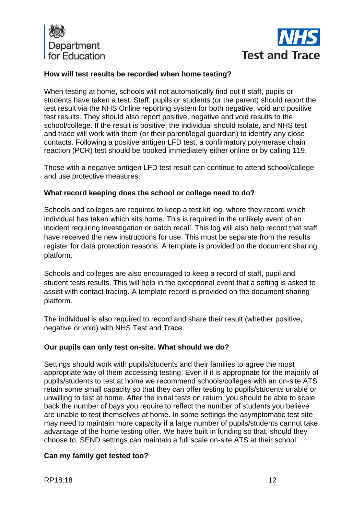



## **How will test results be recorded when home testing?**

When testing at home, schools will not automatically find out if staff, pupils or students have taken a test. Staff, pupils or students (or the parent) should report the test result via the NHS Online reporting system for both negative, void and positive test results. They should also report positive, negative and void results to the school/college. If the result is positive, the individual should isolate, and NHS test and trace will work with them (or their parent/legal guardian) to identify any close contacts. Following a positive antigen LFD test, a confirmatory polymerase chain reaction (PCR) test should be booked immediately either online or by calling 119.

Those with a negative antigen LFD test result can continue to attend school/college and use protective measures.

### **What record keeping does the school or college need to do?**

Schools and colleges are required to keep a test kit log, where they record which individual has taken which kits home. This is required in the unlikely event of an incident requiring investigation or batch recall. This log will also help record that staff have received the new instructions for use. This must be separate from the results register for data protection reasons. A template is provided on the document sharing platform.

Schools and colleges are also encouraged to keep a record of staff, pupil and student tests results. This will help in the exceptional event that a setting is asked to assist with contact tracing. A template record is provided on the document sharing platform.

The individual is also required to record and share their result (whether positive, negative or void) with NHS Test and Trace.

## **Our pupils can only test on-site. What should we do?**

Settings should work with pupils/students and their families to agree the most appropriate way of them accessing testing. Even if it is appropriate for the majority of pupils/students to test at home we recommend schools/colleges with an on-site ATS retain some small capacity so that they can offer testing to pupils/students unable or unwilling to test at home. After the initial tests on return, you should be able to scale back the number of bays you require to reflect the number of students you believe are unable to test themselves at home. In some settings the asymptomatic test site may need to maintain more capacity if a large number of pupils/students cannot take advantage of the home testing offer. We have built in funding so that, should they choose to, SEND settings can maintain a full scale on-site ATS at their school.

## **Can my family get tested too?**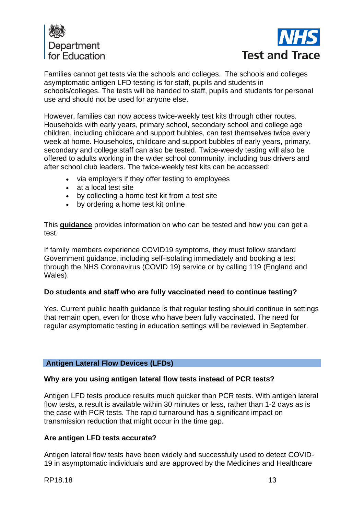



Families cannot get tests via the schools and colleges. The schools and colleges asymptomatic antigen LFD testing is for staff, pupils and students in schools/colleges. The tests will be handed to staff, pupils and students for personal use and should not be used for anyone else.

However, families can now access twice-weekly test kits through other routes. Households with early years, primary school, secondary school and college age children, including childcare and support bubbles, can test themselves twice every week at home. Households, childcare and support bubbles of early years, primary, secondary and college staff can also be tested. Twice-weekly testing will also be offered to adults working in the wider school community, including bus drivers and after school club leaders. The twice-weekly test kits can be accessed:

- via employers if they offer testing to employees
- at a local test site
- by collecting a home test kit from a test site
- by ordering a home test kit online

This **[guidance](https://www.gov.uk/guidance/rapid-lateral-flow-testing-for-households-and-bubbles-of-school-pupils-and-staff?utm_source=1%20March%202021%20C19&utm_medium=Daily%20Email%20C19&utm_campaign=DfE%20C19)** provides information on who can be tested and how you can get a test.

If family members experience COVID19 symptoms, they must follow standard Government guidance, including self-isolating immediately and booking a test through the NHS Coronavirus (COVID 19) service or by calling 119 (England and Wales).

## **Do students and staff who are fully vaccinated need to continue testing?**

Yes. Current public health guidance is that regular testing should continue in settings that remain open, even for those who have been fully vaccinated. The need for regular asymptomatic testing in education settings will be reviewed in September.

#### **Antigen Lateral Flow Devices (LFDs)**

#### **Why are you using antigen lateral flow tests instead of PCR tests?**

Antigen LFD tests produce results much quicker than PCR tests. With antigen lateral flow tests, a result is available within 30 minutes or less, rather than 1-2 days as is the case with PCR tests. The rapid turnaround has a significant impact on transmission reduction that might occur in the time gap.

## **Are antigen LFD tests accurate?**

Antigen lateral flow tests have been widely and successfully used to detect COVID-19 in asymptomatic individuals and are approved by the Medicines and Healthcare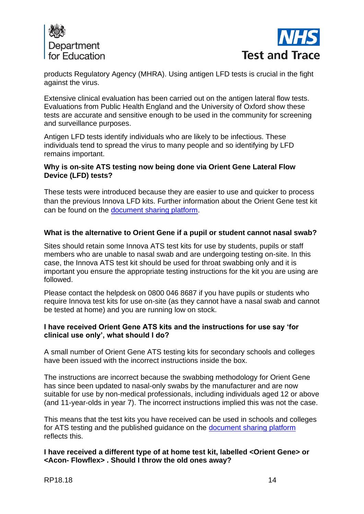



products Regulatory Agency (MHRA). Using antigen LFD tests is crucial in the fight against the virus.

Extensive clinical evaluation has been carried out on the antigen lateral flow tests. Evaluations from Public Health England and the University of Oxford show these tests are accurate and sensitive enough to be used in the community for screening and surveillance purposes.

Antigen LFD tests identify individuals who are likely to be infectious. These individuals tend to spread the virus to many people and so identifying by LFD remains important.

## **Why is on-site ATS testing now being done via Orient Gene Lateral Flow Device (LFD) tests?**

These tests were introduced because they are easier to use and quicker to process than the previous Innova LFD kits. Further information about the Orient Gene test kit can be found on the [document sharing platform.](https://drive.google.com/drive/folders/1jYv0MjFyIIbzgPn_1S10OuRgfrj_b5_P)

# **What is the alternative to Orient Gene if a pupil or student cannot nasal swab?**

Sites should retain some Innova ATS test kits for use by students, pupils or staff members who are unable to nasal swab and are undergoing testing on-site. In this case, the Innova ATS test kit should be used for throat swabbing only and it is important you ensure the appropriate testing instructions for the kit you are using are followed.

Please contact the helpdesk on 0800 046 8687 if you have pupils or students who require Innova test kits for use on-site (as they cannot have a nasal swab and cannot be tested at home) and you are running low on stock.

## **I have received Orient Gene ATS kits and the instructions for use say 'for clinical use only', what should I do?**

A small number of Orient Gene ATS testing kits for secondary schools and colleges have been issued with the incorrect instructions inside the box.

The instructions are incorrect because the swabbing methodology for Orient Gene has since been updated to nasal-only swabs by the manufacturer and are now suitable for use by non-medical professionals, including individuals aged 12 or above (and 11-year-olds in year 7). The incorrect instructions implied this was not the case.

This means that the test kits you have received can be used in schools and colleges for ATS testing and the published guidance on the [document sharing platform](https://drive.google.com/drive/folders/1jYv0MjFyIIbzgPn_1S10OuRgfrj_b5_P?form=MY01SV&OCID=MY01SV) reflects this.

## **I have received a different type of at home test kit, labelled <Orient Gene> or <Acon- Flowflex> . Should I throw the old ones away?**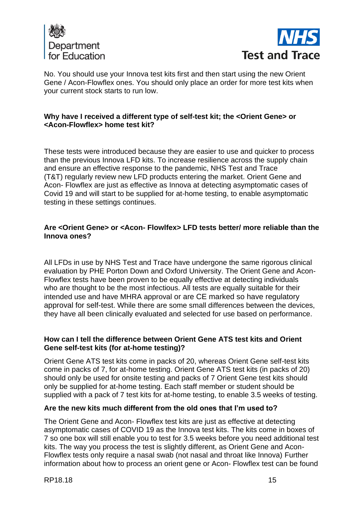



No. You should use your Innova test kits first and then start using the new Orient Gene / Acon-Flowflex ones. You should only place an order for more test kits when your current stock starts to run low.

## **Why have I received a different type of self-test kit; the <Orient Gene> or <Acon-Flowflex> home test kit?**

These tests were introduced because they are easier to use and quicker to process than the previous Innova LFD kits. To increase resilience across the supply chain and ensure an effective response to the pandemic, NHS Test and Trace (T&T) regularly review new LFD products entering the market. Orient Gene and Acon- Flowflex are just as effective as Innova at detecting asymptomatic cases of Covid 19 and will start to be supplied for at-home testing, to enable asymptomatic testing in these settings continues.

## **Are <Orient Gene> or <Acon- Flowlfex> LFD tests better/ more reliable than the Innova ones?**

All LFDs in use by NHS Test and Trace have undergone the same rigorous clinical evaluation by PHE Porton Down and Oxford University. The Orient Gene and Acon-Flowflex tests have been proven to be equally effective at detecting individuals who are thought to be the most infectious. All tests are equally suitable for their intended use and have MHRA approval or are CE marked so have regulatory approval for self-test. While there are some small differences between the devices, they have all been clinically evaluated and selected for use based on performance.

## **How can I tell the difference between Orient Gene ATS test kits and Orient Gene self-test kits (for at-home testing)?**

Orient Gene ATS test kits come in packs of 20, whereas Orient Gene self-test kits come in packs of 7, for at-home testing. Orient Gene ATS test kits (in packs of 20) should only be used for onsite testing and packs of 7 Orient Gene test kits should only be supplied for at-home testing. Each staff member or student should be supplied with a pack of 7 test kits for at-home testing, to enable 3.5 weeks of testing.

## **Are the new kits much different from the old ones that I'm used to?**

The Orient Gene and Acon- Flowflex test kits are just as effective at detecting asymptomatic cases of COVID 19 as the Innova test kits. The kits come in boxes of 7 so one box will still enable you to test for 3.5 weeks before you need additional test kits. The way you process the test is slightly different, as Orient Gene and Acon-Flowflex tests only require a nasal swab (not nasal and throat like Innova) Further information about how to process an orient gene or Acon- Flowflex test can be found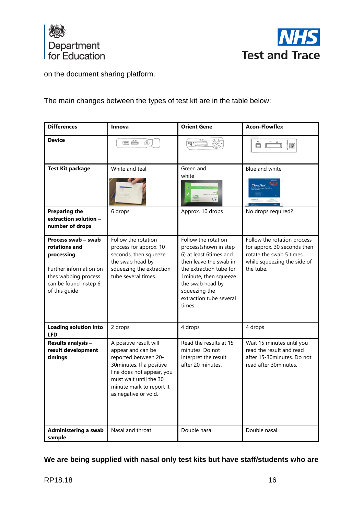



on the document sharing platform.

The main changes between the types of test kit are in the table below:

| <b>Differences</b>                                                                                                                             | Innova                                                                                                                                                                                                     | <b>Orient Gene</b>                                                                                                                                                                                                             | <b>Acon-Flowflex</b>                                                                                                              |
|------------------------------------------------------------------------------------------------------------------------------------------------|------------------------------------------------------------------------------------------------------------------------------------------------------------------------------------------------------------|--------------------------------------------------------------------------------------------------------------------------------------------------------------------------------------------------------------------------------|-----------------------------------------------------------------------------------------------------------------------------------|
| <b>Device</b>                                                                                                                                  | ÓĊ<br>$\odot$                                                                                                                                                                                              | $\overline{\mathbf{a}}$                                                                                                                                                                                                        | $\Box$<br>纝                                                                                                                       |
| <b>Test Kit package</b><br><b>Preparing the</b>                                                                                                | White and teal<br>6 drops                                                                                                                                                                                  | Green and<br>white<br>$\epsilon_{\rm eff}$<br>Approx. 10 drops                                                                                                                                                                 | Blue and white<br>Flowflex <sup>-</sup><br>No drops required?                                                                     |
| extraction solution -<br>number of drops                                                                                                       |                                                                                                                                                                                                            |                                                                                                                                                                                                                                |                                                                                                                                   |
| Process swab - swab<br>rotations and<br>processing<br>Further information on<br>thes wabbing process<br>can be found instep 6<br>of this guide | Follow the rotation<br>process for approx. 10<br>seconds, then squeeze<br>the swab head by<br>squeezing the extraction<br>tube several times.                                                              | Follow the rotation<br>process(shown in step<br>6) at least 6times and<br>then leave the swab in<br>the extraction tube for<br>1minute, then squeeze<br>the swab head by<br>squeezing the<br>extraction tube several<br>times. | Follow the rotation process<br>for approx. 30 seconds then<br>rotate the swab 5 times<br>while squeezing the side of<br>the tube. |
| <b>Loading solution into</b><br><b>LFD</b>                                                                                                     | 2 drops                                                                                                                                                                                                    | 4 drops                                                                                                                                                                                                                        | 4 drops                                                                                                                           |
| Results analysis -<br>result development<br>timings                                                                                            | A positive result will<br>appear and can be<br>reported between 20-<br>30minutes. If a positive<br>line does not appear, you<br>must wait until the 30<br>minute mark to report it<br>as negative or void. | Read the results at 15<br>minutes. Do not<br>interpret the result<br>after 20 minutes.                                                                                                                                         | Wait 15 minutes until you<br>read the result and read<br>after 15-30minutes. Do not<br>read after 30minutes.                      |
| Administering a swab<br>sample                                                                                                                 | Nasal and throat                                                                                                                                                                                           | Double nasal                                                                                                                                                                                                                   | Double nasal                                                                                                                      |

**We are being supplied with nasal only test kits but have staff/students who are**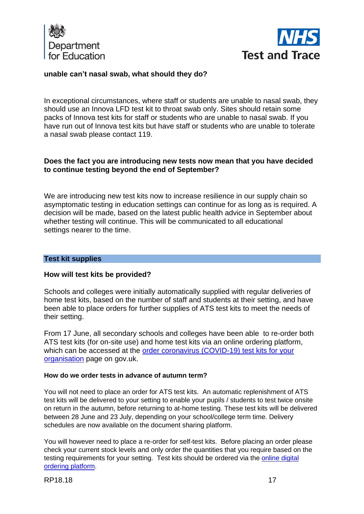



### **unable can't nasal swab, what should they do?**

In exceptional circumstances, where staff or students are unable to nasal swab, they should use an Innova LFD test kit to throat swab only. Sites should retain some packs of Innova test kits for staff or students who are unable to nasal swab. If you have run out of Innova test kits but have staff or students who are unable to tolerate a nasal swab please contact 119.

## **Does the fact you are introducing new tests now mean that you have decided to continue testing beyond the end of September?**

We are introducing new test kits now to increase resilience in our supply chain so asymptomatic testing in education settings can continue for as long as is required. A decision will be made, based on the latest public health advice in September about whether testing will continue. This will be communicated to all educational settings nearer to the time.

## **Test kit supplies**

#### **How will test kits be provided?**

Schools and colleges were initially automatically supplied with regular deliveries of home test kits, based on the number of staff and students at their setting, and have been able to place orders for further supplies of ATS test kits to meet the needs of their setting.

From 17 June, all secondary schools and colleges have been able to re-order both ATS test kits (for on-site use) and home test kits via an online ordering platform, which can be accessed at the [order coronavirus \(COVID-19\) test kits for your](https://request-testing.test-for-coronavirus.service.gov.uk/)  [organisation](https://request-testing.test-for-coronavirus.service.gov.uk/) page on gov.uk.

#### **How do we order tests in advance of autumn term?**

You will not need to place an order for ATS test kits. An automatic replenishment of ATS test kits will be delivered to your setting to enable your pupils / students to test twice onsite on return in the autumn, before returning to at-home testing. These test kits will be delivered between 28 June and 23 July, depending on your school/college term time. Delivery schedules are now available on the document sharing platform.

You will however need to place a re-order for self-test kits. Before placing an order please check your current stock levels and only order the quantities that you require based on the testing requirements for your setting. Test kits should be ordered via the [online digital](https://request-testing.test-for-coronavirus.service.gov.uk/)  [ordering platform.](https://request-testing.test-for-coronavirus.service.gov.uk/)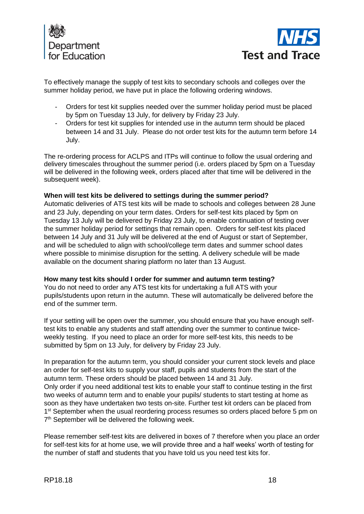



To effectively manage the supply of test kits to secondary schools and colleges over the summer holiday period, we have put in place the following ordering windows.

- Orders for test kit supplies needed over the summer holiday period must be placed by 5pm on Tuesday 13 July, for delivery by Friday 23 July.
- Orders for test kit supplies for intended use in the autumn term should be placed between 14 and 31 July. Please do not order test kits for the autumn term before 14 July.

The re-ordering process for ACLPS and ITPs will continue to follow the usual ordering and delivery timescales throughout the summer period (i.e. orders placed by 5pm on a Tuesday will be delivered in the following week, orders placed after that time will be delivered in the subsequent week).

#### **When will test kits be delivered to settings during the summer period?**

Automatic deliveries of ATS test kits will be made to schools and colleges between 28 June and 23 July, depending on your term dates. Orders for self-test kits placed by 5pm on Tuesday 13 July will be delivered by Friday 23 July, to enable continuation of testing over the summer holiday period for settings that remain open. Orders for self-test kits placed between 14 July and 31 July will be delivered at the end of August or start of September, and will be scheduled to align with school/college term dates and summer school dates where possible to minimise disruption for the setting. A delivery schedule will be made available on the document sharing platform no later than 13 August.

#### **How many test kits should I order for summer and autumn term testing?**

You do not need to order any ATS test kits for undertaking a full ATS with your pupils/students upon return in the autumn. These will automatically be delivered before the end of the summer term.

If your setting will be open over the summer, you should ensure that you have enough selftest kits to enable any students and staff attending over the summer to continue twiceweekly testing. If you need to place an order for more self-test kits, this needs to be submitted by 5pm on 13 July, for delivery by Friday 23 July.

In preparation for the autumn term, you should consider your current stock levels and place an order for self-test kits to supply your staff, pupils and students from the start of the autumn term. These orders should be placed between 14 and 31 July. Only order if you need additional test kits to enable your staff to continue testing in the first two weeks of autumn term and to enable your pupils/ students to start testing at home as soon as they have undertaken two tests on-site. Further test kit orders can be placed from 1<sup>st</sup> September when the usual reordering process resumes so orders placed before 5 pm on 7<sup>th</sup> September will be delivered the following week.

Please remember self-test kits are delivered in boxes of 7 therefore when you place an order for self-test kits for at home use, we will provide three and a half weeks' worth of testing for the number of staff and students that you have told us you need test kits for.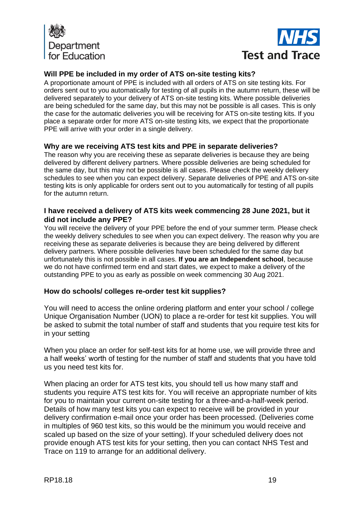



# **Will PPE be included in my order of ATS on-site testing kits?**

A proportionate amount of PPE is included with all orders of ATS on site testing kits. For orders sent out to you automatically for testing of all pupils in the autumn return, these will be delivered separately to your delivery of ATS on-site testing kits. Where possible deliveries are being scheduled for the same day, but this may not be possible is all cases. This is only the case for the automatic deliveries you will be receiving for ATS on-site testing kits. If you place a separate order for more ATS on-site testing kits, we expect that the proportionate PPE will arrive with your order in a single delivery.

## **Why are we receiving ATS test kits and PPE in separate deliveries?**

The reason why you are receiving these as separate deliveries is because they are being delivered by different delivery partners. Where possible deliveries are being scheduled for the same day, but this may not be possible is all cases. Please check the weekly delivery schedules to see when you can expect delivery. Separate deliveries of PPE and ATS on-site testing kits is only applicable for orders sent out to you automatically for testing of all pupils for the autumn return.

## **I have received a delivery of ATS kits week commencing 28 June 2021, but it did not include any PPE?**

You will receive the delivery of your PPE before the end of your summer term. Please check the weekly delivery schedules to see when you can expect delivery. The reason why you are receiving these as separate deliveries is because they are being delivered by different delivery partners. Where possible deliveries have been scheduled for the same day but unfortunately this is not possible in all cases. **If you are an Independent school**, because we do not have confirmed term end and start dates, we expect to make a delivery of the outstanding PPE to you as early as possible on week commencing 30 Aug 2021.

## **How do schools/ colleges re-order test kit supplies?**

You will need to access the online ordering platform and enter your school / college Unique Organisation Number (UON) to place a re-order for test kit supplies. You will be asked to submit the total number of staff and students that you require test kits for in your setting

When you place an order for self-test kits for at home use, we will provide three and a half weeks' worth of testing for the number of staff and students that you have told us you need test kits for.

When placing an order for ATS test kits, you should tell us how many staff and students you require ATS test kits for. You will receive an appropriate number of kits for you to maintain your current on-site testing for a three-and-a-half-week period. Details of how many test kits you can expect to receive will be provided in your delivery confirmation e-mail once your order has been processed. (Deliveries come in multiples of 960 test kits, so this would be the minimum you would receive and scaled up based on the size of your setting). If your scheduled delivery does not provide enough ATS test kits for your setting, then you can contact NHS Test and Trace on 119 to arrange for an additional delivery.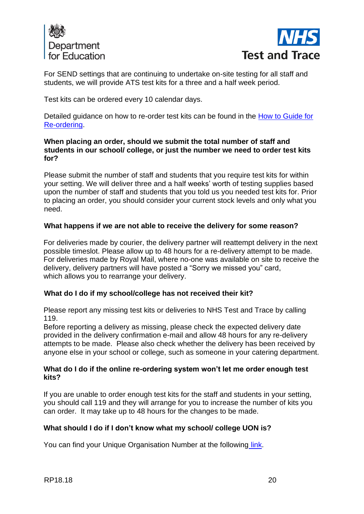



For SEND settings that are continuing to undertake on-site testing for all staff and students, we will provide ATS test kits for a three and a half week period.

Test kits can be ordered every 10 calendar days.

Detailed guidance on how to re-order test kits can be found in the [How to Guide for](https://drive.google.com/file/d/1OWYgPPc-vWltjslF3OUIytniyBK7JEgg/view?usp=sharing)  [Re-ordering.](https://drive.google.com/file/d/1OWYgPPc-vWltjslF3OUIytniyBK7JEgg/view?usp=sharing)

## **When placing an order, should we submit the total number of staff and students in our school/ college, or just the number we need to order test kits for?**

Please submit the number of staff and students that you require test kits for within your setting. We will deliver three and a half weeks' worth of testing supplies based upon the number of staff and students that you told us you needed test kits for. Prior to placing an order, you should consider your current stock levels and only what you need.

# **What happens if we are not able to receive the delivery for some reason?**

For deliveries made by courier, the delivery partner will reattempt delivery in the next possible timeslot. Please allow up to 48 hours for a re-delivery attempt to be made. For deliveries made by Royal Mail, where no-one was available on site to receive the delivery, delivery partners will have posted a "Sorry we missed you" card, which allows you to rearrange your delivery.

## **What do I do if my school/college has not received their kit?**

Please report any missing test kits or deliveries to NHS Test and Trace by calling 119.

Before reporting a delivery as missing, please check the expected delivery date provided in the delivery confirmation e-mail and allow 48 hours for any re-delivery attempts to be made. Please also check whether the delivery has been received by anyone else in your school or college, such as someone in your catering department.

## **What do I do if the online re-ordering system won't let me order enough test kits?**

If you are unable to order enough test kits for the staff and students in your setting, you should call 119 and they will arrange for you to increase the number of kits you can order. It may take up to 48 hours for the changes to be made.

## **What should I do if I don't know what my school/ college UON is?**

You can find your Unique Organisation Number at the following [link.](https://organisation-number-lookup.test-for-coronavirus.service.gov.uk/)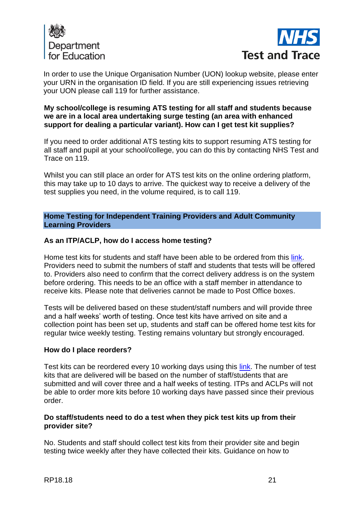



In order to use the Unique Organisation Number (UON) lookup website, please enter your URN in the organisation ID field. If you are still experiencing issues retrieving your UON please call 119 for further assistance.

## **My school/college is resuming ATS testing for all staff and students because we are in a local area undertaking surge testing (an area with enhanced support for dealing a particular variant). How can I get test kit supplies?**

If you need to order additional ATS testing kits to support resuming ATS testing for all staff and pupil at your school/college, you can do this by contacting NHS Test and Trace on 119.

Whilst you can still place an order for ATS test kits on the online ordering platform, this may take up to 10 days to arrive. The quickest way to receive a delivery of the test supplies you need, in the volume required, is to call 119.

**Home Testing for Independent Training Providers and Adult Community Learning Providers**

### **As an ITP/ACLP, how do I access home testing?**

Home test kits for students and staff have been able to be ordered from this [link.](https://request-testing.test-for-coronavirus.service.gov.uk/) Providers need to submit the numbers of staff and students that tests will be offered to. Providers also need to confirm that the correct delivery address is on the system before ordering. This needs to be an office with a staff member in attendance to receive kits. Please note that deliveries cannot be made to Post Office boxes.

Tests will be delivered based on these student/staff numbers and will provide three and a half weeks' worth of testing. Once test kits have arrived on site and a collection point has been set up, students and staff can be offered home test kits for regular twice weekly testing. Testing remains voluntary but strongly encouraged.

#### **How do I place reorders?**

Test kits can be reordered every 10 working days using this [link.](https://request-testing.test-for-coronavirus.service.gov.uk/) The number of test kits that are delivered will be based on the number of staff/students that are submitted and will cover three and a half weeks of testing. ITPs and ACLPs will not be able to order more kits before 10 working days have passed since their previous order.

### **Do staff/students need to do a test when they pick test kits up from their provider site?**

No. Students and staff should collect test kits from their provider site and begin testing twice weekly after they have collected their kits. Guidance on how to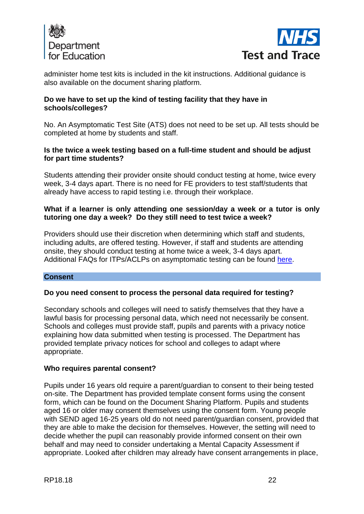



administer home test kits is included in the kit instructions. Additional guidance is also available on the document sharing platform.

## **Do we have to set up the kind of testing facility that they have in schools/colleges?**

No. An Asymptomatic Test Site (ATS) does not need to be set up. All tests should be completed at home by students and staff.

## **Is the twice a week testing based on a full-time student and should be adjust for part time students?**

Students attending their provider onsite should conduct testing at home, twice every week, 3-4 days apart. There is no need for FE providers to test staff/students that already have access to rapid testing i.e. through their workplace.

## **What if a learner is only attending one session/day a week or a tutor is only tutoring one day a week? Do they still need to test twice a week?**

Providers should use their discretion when determining which staff and students, including adults, are offered testing. However, if staff and students are attending onsite, they should conduct testing at home twice a week, 3-4 days apart. Additional FAQs for ITPs/ACLPs on asymptomatic testing can be found [here.](https://drive.google.com/drive/folders/1fvleBOc5ijlXA3rTxscIYggxodDhkWGI?form=MY01SV&OCID=MY01SV)

## **Consent**

## **Do you need consent to process the personal data required for testing?**

Secondary schools and colleges will need to satisfy themselves that they have a lawful basis for processing personal data, which need not necessarily be consent. Schools and colleges must provide staff, pupils and parents with a privacy notice explaining how data submitted when testing is processed. The Department has provided template privacy notices for school and colleges to adapt where appropriate.

#### **Who requires parental consent?**

Pupils under 16 years old require a parent/guardian to consent to their being tested on-site. The Department has provided template consent forms using the consent form, which can be found on the Document Sharing Platform. Pupils and students aged 16 or older may consent themselves using the consent form. Young people with SEND aged 16-25 years old do not need parent/guardian consent, provided that they are able to make the decision for themselves. However, the setting will need to decide whether the pupil can reasonably provide informed consent on their own behalf and may need to consider undertaking a Mental Capacity Assessment if appropriate. Looked after children may already have consent arrangements in place,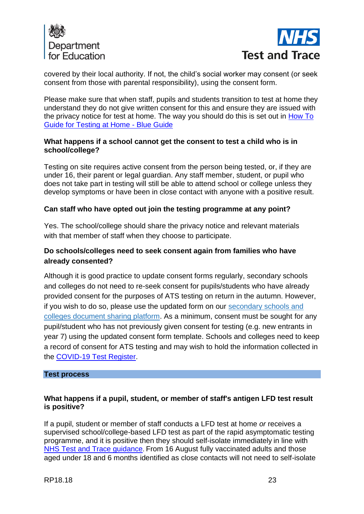



covered by their local authority. If not, the child's social worker may consent (or seek consent from those with parental responsibility), using the consent form.

Please make sure that when staff, pupils and students transition to test at home they understand they do not give written consent for this and ensure they are issued with the privacy notice for test at home. The way you should do this is set out in [How To](https://drive.google.com/file/d/1Mg1XEuVMgB-kyatMt6ymyuargJJVj5ik/view?usp=sharing)  [Guide for Testing at Home](https://drive.google.com/file/d/1Mg1XEuVMgB-kyatMt6ymyuargJJVj5ik/view?usp=sharing) - Blue Guide

## **What happens if a school cannot get the consent to test a child who is in school/college?**

Testing on site requires active consent from the person being tested, or, if they are under 16, their parent or legal guardian. Any staff member, student, or pupil who does not take part in testing will still be able to attend school or college unless they develop symptoms or have been in close contact with anyone with a positive result.

# **Can staff who have opted out join the testing programme at any point?**

Yes. The school/college should share the privacy notice and relevant materials with that member of staff when they choose to participate.

# **Do schools/colleges need to seek consent again from families who have already consented?**

Although it is good practice to update consent forms regularly, secondary schools and colleges do not need to re-seek consent for pupils/students who have already provided consent for the purposes of ATS testing on return in the autumn. However, if you wish to do so, please use the updated form on our [secondary schools and](https://drive.google.com/drive/folders/1jYv0MjFyIIbzgPn_1S10OuRgfrj_b5_P)  [colleges document sharing platform.](https://drive.google.com/drive/folders/1jYv0MjFyIIbzgPn_1S10OuRgfrj_b5_P) As a minimum, consent must be sought for any pupil/student who has not previously given consent for testing (e.g. new entrants in year 7) using the updated consent form template. Schools and colleges need to keep a record of consent for ATS testing and may wish to hold the information collected in the [COVID-19 Test Register.](https://www.gov.uk/government/publications/organisation-testing-registration-record-of-users)

#### **Test process**

# **What happens if a pupil, student, or member of staff's antigen LFD test result is positive?**

If a pupil, student or member of staff conducts a LFD test at home *or* receives a supervised school/college-based LFD test as part of the rapid asymptomatic testing programme, and it is positive then they should self-isolate immediately in line with [NHS Test and Trace guidance](https://www.gov.uk/guidance/nhs-test-and-trace-how-it-works). From 16 August fully vaccinated adults and those aged under 18 and 6 months identified as close contacts will not need to self-isolate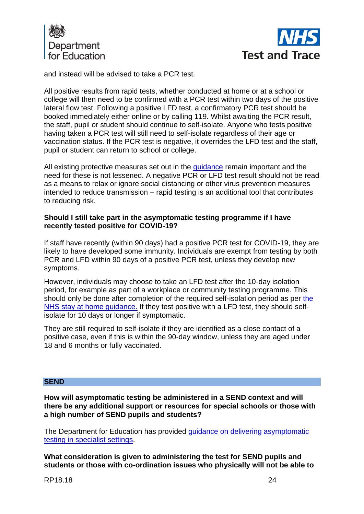



and instead will be advised to take a PCR test.

All positive results from rapid tests, whether conducted at home or at a school or college will then need to be confirmed with a PCR test within two days of the positive lateral flow test. Following a positive LFD test, a confirmatory PCR test should be booked immediately either online or by calling 119. Whilst awaiting the PCR result, the staff, pupil or student should continue to self-isolate. Anyone who tests positive having taken a PCR test will still need to self-isolate regardless of their age or vaccination status. If the PCR test is negative, it overrides the LFD test and the staff, pupil or student can return to school or college.

All existing protective measures set out in the quidance remain important and the need for these is not lessened. A negative PCR or LFD test result should not be read as a means to relax or ignore social distancing or other virus prevention measures intended to reduce transmission – rapid testing is an additional tool that contributes to reducing risk.

### **Should I still take part in the asymptomatic testing programme if I have recently tested positive for COVID-19?**

If staff have recently (within 90 days) had a positive PCR test for COVID-19, they are likely to have developed some immunity. Individuals are exempt from testing by both PCR and LFD within 90 days of a positive PCR test, unless they develop new symptoms.

However, individuals may choose to take an LFD test after the 10-day isolation period, for example as part of a workplace or community testing programme. This should only be done after completion of the required self-isolation period as per [the](https://secure-web.cisco.com/1n4DHtgszuquC_-0CiUd9YXPcuIOsp0VXUrrhWqQ5YBzaRthsmWq4A-kwlnHT_Ma4rFXQW74QJxLP9wd_X5KdEVhCoFMXR34XZK6ZcArBduQUBr8xjlWwdbcH8FwgQqGrB-10KBW2P9OxtRz569Jw3rwyT6snOVZ56wp2sCbljckYDpaHg2hEiGRQZEk91V-Zwcl3Wtyp2uL01m_oa7ORqMKZuDZXPicBNG5Vj512vQ2bPCmJPWkqTB65X6i01iTHTfvwG588Z8XThgp8tcYy3-BMi1P2d4Wgyea_9ln48ZFkKMPu7Z_Aah3Ly4UnMez5/https%3A%2F%2Fwww.gov.uk%2Fgovernment%2Fpublications%2Fcovid-19-stay-at-home-guidance%2Fstay-at-home-guidance-for-households-with-possible-coronavirus-covid-19-infection)  [NHS stay at home guidance.](https://secure-web.cisco.com/1n4DHtgszuquC_-0CiUd9YXPcuIOsp0VXUrrhWqQ5YBzaRthsmWq4A-kwlnHT_Ma4rFXQW74QJxLP9wd_X5KdEVhCoFMXR34XZK6ZcArBduQUBr8xjlWwdbcH8FwgQqGrB-10KBW2P9OxtRz569Jw3rwyT6snOVZ56wp2sCbljckYDpaHg2hEiGRQZEk91V-Zwcl3Wtyp2uL01m_oa7ORqMKZuDZXPicBNG5Vj512vQ2bPCmJPWkqTB65X6i01iTHTfvwG588Z8XThgp8tcYy3-BMi1P2d4Wgyea_9ln48ZFkKMPu7Z_Aah3Ly4UnMez5/https%3A%2F%2Fwww.gov.uk%2Fgovernment%2Fpublications%2Fcovid-19-stay-at-home-guidance%2Fstay-at-home-guidance-for-households-with-possible-coronavirus-covid-19-infection) If they test positive with a LFD test, they should selfisolate for 10 days or longer if symptomatic.

They are still required to self-isolate if they are identified as a close contact of a positive case, even if this is within the 90-day window, unless they are aged under 18 and 6 months or fully vaccinated.

#### **SEND**

**How will asymptomatic testing be administered in a SEND context and will there be any additional support or resources for special schools or those with a high number of SEND pupils and students?**

The Department for Education has provided [guidance on delivering asymptomatic](https://www.gov.uk/government/publications/guidance-for-full-opening-special-schools-and-other-specialist-settings/mass-asymptomatic-testing-in-specialist-settings)  [testing in specialist settings.](https://www.gov.uk/government/publications/guidance-for-full-opening-special-schools-and-other-specialist-settings/mass-asymptomatic-testing-in-specialist-settings)

**What consideration is given to administering the test for SEND pupils and students or those with co-ordination issues who physically will not be able to** 

RP18.18 24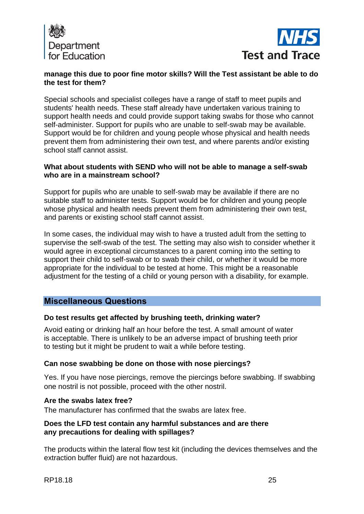



## **manage this due to poor fine motor skills? Will the Test assistant be able to do the test for them?**

Special schools and specialist colleges have a range of staff to meet pupils and students' health needs. These staff already have undertaken various training to support health needs and could provide support taking swabs for those who cannot self-administer. Support for pupils who are unable to self-swab may be available. Support would be for children and young people whose physical and health needs prevent them from administering their own test, and where parents and/or existing school staff cannot assist.

### **What about students with SEND who will not be able to manage a self-swab who are in a mainstream school?**

Support for pupils who are unable to self-swab may be available if there are no suitable staff to administer tests. Support would be for children and young people whose physical and health needs prevent them from administering their own test, and parents or existing school staff cannot assist.

In some cases, the individual may wish to have a trusted adult from the setting to supervise the self-swab of the test. The setting may also wish to consider whether it would agree in exceptional circumstances to a parent coming into the setting to support their child to self-swab or to swab their child, or whether it would be more appropriate for the individual to be tested at home. This might be a reasonable adjustment for the testing of a child or young person with a disability, for example.

# **Miscellaneous Questions**

## **Do test results get affected by brushing teeth, drinking water?**

Avoid eating or drinking half an hour before the test. A small amount of water is acceptable. There is unlikely to be an adverse impact of brushing teeth prior to testing but it might be prudent to wait a while before testing.

## **Can nose swabbing be done on those with nose piercings?**

Yes. If you have nose piercings, remove the piercings before swabbing. If swabbing one nostril is not possible, proceed with the other nostril.

#### **Are the swabs latex free?**

The manufacturer has confirmed that the swabs are latex free.

### **Does the LFD test contain any harmful substances and are there any precautions for dealing with spillages?**

The products within the lateral flow test kit (including the devices themselves and the extraction buffer fluid) are not hazardous.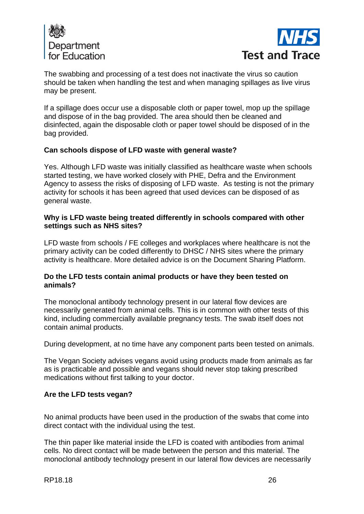



The swabbing and processing of a test does not inactivate the virus so caution should be taken when handling the test and when managing spillages as live virus may be present.

If a spillage does occur use a disposable cloth or paper towel, mop up the spillage and dispose of in the bag provided. The area should then be cleaned and disinfected, again the disposable cloth or paper towel should be disposed of in the bag provided.

## **Can schools dispose of LFD waste with general waste?**

Yes. Although LFD waste was initially classified as healthcare waste when schools started testing, we have worked closely with PHE, Defra and the Environment Agency to assess the risks of disposing of LFD waste. As testing is not the primary activity for schools it has been agreed that used devices can be disposed of as general waste.

### **Why is LFD waste being treated differently in schools compared with other settings such as NHS sites?**

LFD waste from schools / FE colleges and workplaces where healthcare is not the primary activity can be coded differently to DHSC / NHS sites where the primary activity is healthcare. More detailed advice is on the Document Sharing Platform.

### **Do the LFD tests contain animal products or have they been tested on animals?**

The monoclonal antibody technology present in our lateral flow devices are necessarily generated from animal cells. This is in common with other tests of this kind, including commercially available pregnancy tests. The swab itself does not contain animal products.

During development, at no time have any component parts been tested on animals.

The Vegan Society advises vegans avoid using products made from animals as far as is practicable and possible and vegans should never stop taking prescribed medications without first talking to your doctor.

## **Are the LFD tests vegan?**

No animal products have been used in the production of the swabs that come into direct contact with the individual using the test.

The thin paper like material inside the LFD is coated with antibodies from animal cells. No direct contact will be made between the person and this material. The monoclonal antibody technology present in our lateral flow devices are necessarily